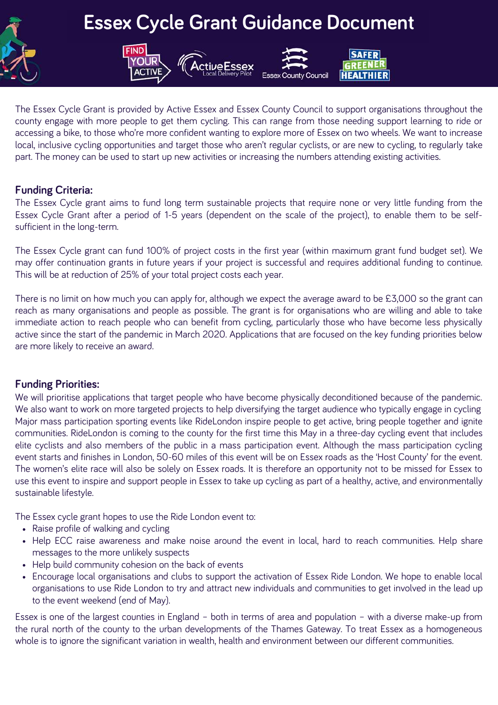

# **Essex Cycle Grant Guidance Document**

**SAFER** GREEN **HEALTHIER** 

Council



### **Funding Criteria:**

The Essex Cycle grant aims to fund long term sustainable projects that require none or very little funding from the Essex Cycle Grant after a period of 1-5 years (dependent on the scale of the project), to enable them to be selfsufficient in the long-term.

The Essex Cycle grant can fund 100% of project costs in the first year (within maximum grant fund budget set). We may offer continuation grants in future years if your project is successful and requires additional funding to continue. This will be at reduction of 25% of your total project costs each year.

There is no limit on how much you can apply for, although we expect the average award to be £3,000 so the grant can reach as many organisations and people as possible. The grant is for organisations who are willing and able to take immediate action to reach people who can benefit from cycling, particularly those who have become less physically active since the start of the pandemic in March 2020. Applications that are focused on the key funding priorities below are more likely to receive an award.

## **Funding Priorities:**

We will prioritise applications that target people who have become physically deconditioned because of the pandemic. We also want to work on more targeted projects to help diversifying the target audience who typically engage in cycling Major mass participation sporting events like RideLondon inspire people to get active, bring people together and ignite communities. RideLondon is coming to the county for the first time this May in a three-day cycling event that includes elite cyclists and also members of the public in a mass participation event. Although the mass participation cycling event starts and finishes in London, 50-60 miles of this event will be on Essex roads as the 'Host County' for the event. The women's elite race will also be solely on Essex roads. It is therefore an opportunity not to be missed for Essex to use this event to inspire and support people in Essex to take up cycling as part of a healthy, active, and environmentally sustainable lifestyle.

The Essex cycle grant hopes to use the Ride London event to:

**FIND** 

- Raise profile of walking and cycling
- Help ECC raise awareness and make noise around the event in local, hard to reach communities. Help share messages to the more unlikely suspects
- Help build community cohesion on the back of events
- Encourage local organisations and clubs to support the activation of Essex Ride London. We hope to enable local organisations to use Ride London to try and attract new individuals and communities to get involved in the lead up to the event weekend (end of May).

Essex is one of the largest counties in England – both in terms of area and population – with a diverse make-up from the rural north of the county to the urban developments of the Thames Gateway. To treat Essex as a homogeneous whole is to ignore the significant variation in wealth, health and environment between our different communities.